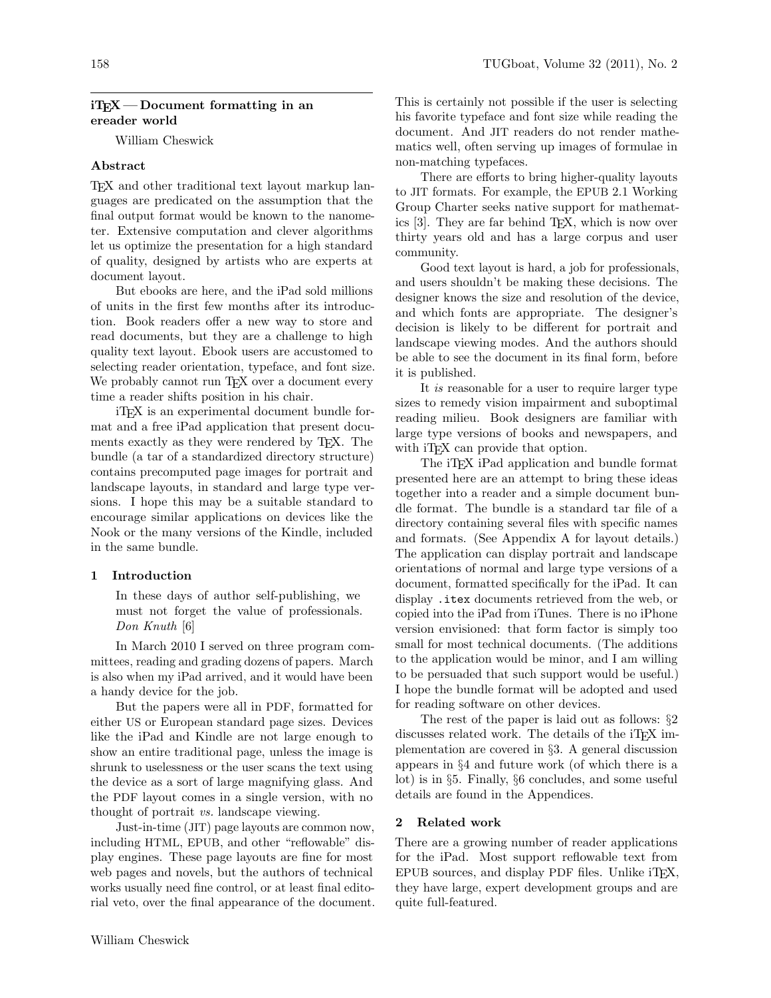## $i$ T<sub>E</sub>X — Document formatting in an ereader world

William Cheswick

# Abstract

TEX and other traditional text layout markup languages are predicated on the assumption that the final output format would be known to the nanometer. Extensive computation and clever algorithms let us optimize the presentation for a high standard of quality, designed by artists who are experts at document layout.

But ebooks are here, and the iPad sold millions of units in the first few months after its introduction. Book readers offer a new way to store and read documents, but they are a challenge to high quality text layout. Ebook users are accustomed to selecting reader orientation, typeface, and font size. We probably cannot run T<sub>E</sub>X over a document every time a reader shifts position in his chair.

iTEX is an experimental document bundle format and a free iPad application that present documents exactly as they were rendered by TEX. The bundle (a tar of a standardized directory structure) contains precomputed page images for portrait and landscape layouts, in standard and large type versions. I hope this may be a suitable standard to encourage similar applications on devices like the Nook or the many versions of the Kindle, included in the same bundle.

### 1 Introduction

In these days of author self-publishing, we must not forget the value of professionals. Don Knuth [6]

In March 2010 I served on three program committees, reading and grading dozens of papers. March is also when my iPad arrived, and it would have been a handy device for the job.

But the papers were all in PDF, formatted for either US or European standard page sizes. Devices like the iPad and Kindle are not large enough to show an entire traditional page, unless the image is shrunk to uselessness or the user scans the text using the device as a sort of large magnifying glass. And the PDF layout comes in a single version, with no thought of portrait vs. landscape viewing.

Just-in-time (JIT) page layouts are common now, including HTML, EPUB, and other "reflowable" display engines. These page layouts are fine for most web pages and novels, but the authors of technical works usually need fine control, or at least final editorial veto, over the final appearance of the document. This is certainly not possible if the user is selecting his favorite typeface and font size while reading the document. And JIT readers do not render mathematics well, often serving up images of formulae in non-matching typefaces.

There are efforts to bring higher-quality layouts to JIT formats. For example, the EPUB 2.1 Working Group Charter seeks native support for mathematics [3]. They are far behind TEX, which is now over thirty years old and has a large corpus and user community.

Good text layout is hard, a job for professionals, and users shouldn't be making these decisions. The designer knows the size and resolution of the device, and which fonts are appropriate. The designer's decision is likely to be different for portrait and landscape viewing modes. And the authors should be able to see the document in its final form, before it is published.

It is reasonable for a user to require larger type sizes to remedy vision impairment and suboptimal reading milieu. Book designers are familiar with large type versions of books and newspapers, and with iT<sub>EX</sub> can provide that option.

The iTEX iPad application and bundle format presented here are an attempt to bring these ideas together into a reader and a simple document bundle format. The bundle is a standard tar file of a directory containing several files with specific names and formats. (See Appendix A for layout details.) The application can display portrait and landscape orientations of normal and large type versions of a document, formatted specifically for the iPad. It can display .itex documents retrieved from the web, or copied into the iPad from iTunes. There is no iPhone version envisioned: that form factor is simply too small for most technical documents. (The additions to the application would be minor, and I am willing to be persuaded that such support would be useful.) I hope the bundle format will be adopted and used for reading software on other devices.

The rest of the paper is laid out as follows: §2 discusses related work. The details of the iT<sub>E</sub>X implementation are covered in §3. A general discussion appears in §4 and future work (of which there is a lot) is in §5. Finally, §6 concludes, and some useful details are found in the Appendices.

# 2 Related work

There are a growing number of reader applications for the iPad. Most support reflowable text from EPUB sources, and display PDF files. Unlike iTEX, they have large, expert development groups and are quite full-featured.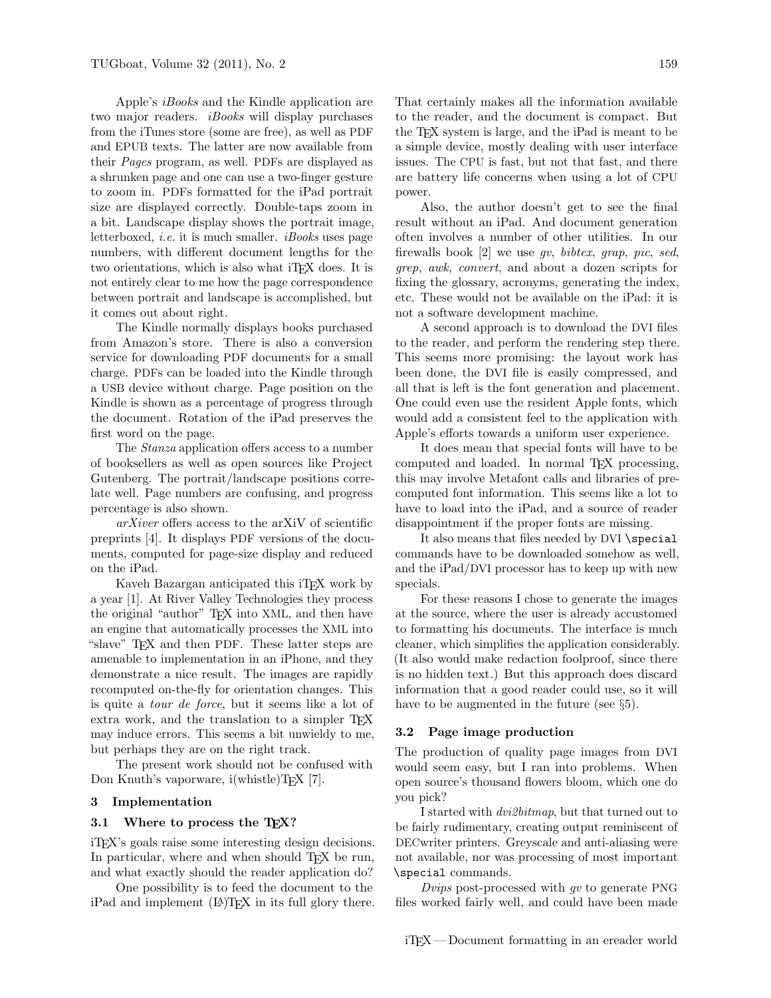Apple's iBooks and the Kindle application are two major readers. *iBooks* will display purchases from the iTunes store (some are free), as well as PDF and EPUB texts. The latter are now available from their Pages program, as well. PDFs are displayed as a shrunken page and one can use a two-finger gesture to zoom in. PDFs formatted for the iPad portrait size are displayed correctly. Double-taps zoom in a bit. Landscape display shows the portrait image, letterboxed, i.e. it is much smaller. iBooks uses page numbers, with different document lengths for the two orientations, which is also what iT<sub>EX</sub> does. It is not entirely clear to me how the page correspondence between portrait and landscape is accomplished, but it comes out about right.

The Kindle normally displays books purchased from Amazon's store. There is also a conversion service for downloading PDF documents for a small charge. PDFs can be loaded into the Kindle through a USB device without charge. Page position on the Kindle is shown as a percentage of progress through the document. Rotation of the iPad preserves the first word on the page.

The Stanza application offers access to a number of booksellers as well as open sources like Project Gutenberg. The portrait/landscape positions correlate well. Page numbers are confusing, and progress percentage is also shown.

arXiver offers access to the arXiV of scientific preprints [4]. It displays PDF versions of the documents, computed for page-size display and reduced on the iPad.

Kaveh Bazargan anticipated this iT<sub>E</sub>X work by a year [1]. At River Valley Technologies they process the original "author" T<sub>E</sub>X into XML, and then have an engine that automatically processes the XML into "slave" TEX and then PDF. These latter steps are amenable to implementation in an iPhone, and they demonstrate a nice result. The images are rapidly recomputed on-the-fly for orientation changes. This is quite a tour de force, but it seems like a lot of extra work, and the translation to a simpler TFX may induce errors. This seems a bit unwieldy to me, but perhaps they are on the right track.

The present work should not be confused with Don Knuth's vaporware, i(whistle)TEX [7].

# 3 Implementation

#### 3.1 Where to process the T<sub>F</sub>X?

iTEX's goals raise some interesting design decisions. In particular, where and when should T<sub>E</sub>X be run, and what exactly should the reader application do?

One possibility is to feed the document to the  $iPad$  and implement  $(LA)TFX$  in its full glory there. That certainly makes all the information available to the reader, and the document is compact. But the TEX system is large, and the iPad is meant to be a simple device, mostly dealing with user interface issues. The CPU is fast, but not that fast, and there are battery life concerns when using a lot of CPU power.

Also, the author doesn't get to see the final result without an iPad. And document generation often involves a number of other utilities. In our firewalls book [2] we use gv, bibtex, grap, pic, sed, grep, awk, convert, and about a dozen scripts for fixing the glossary, acronyms, generating the index, etc. These would not be available on the iPad: it is not a software development machine.

A second approach is to download the DVI files to the reader, and perform the rendering step there. This seems more promising: the layout work has been done, the DVI file is easily compressed, and all that is left is the font generation and placement. One could even use the resident Apple fonts, which would add a consistent feel to the application with Apple's efforts towards a uniform user experience.

It does mean that special fonts will have to be computed and loaded. In normal TEX processing, this may involve Metafont calls and libraries of precomputed font information. This seems like a lot to have to load into the iPad, and a source of reader disappointment if the proper fonts are missing.

It also means that files needed by DVI \special commands have to be downloaded somehow as well, and the iPad/DVI processor has to keep up with new specials.

For these reasons I chose to generate the images at the source, where the user is already accustomed to formatting his documents. The interface is much cleaner, which simplifies the application considerably. (It also would make redaction foolproof, since there is no hidden text.) But this approach does discard information that a good reader could use, so it will have to be augmented in the future (see  $\S5$ ).

#### 3.2 Page image production

The production of quality page images from DVI would seem easy, but I ran into problems. When open source's thousand flowers bloom, which one do you pick?

I started with dvi2bitmap, but that turned out to be fairly rudimentary, creating output reminiscent of DECwriter printers. Greyscale and anti-aliasing were not available, nor was processing of most important \special commands.

Dvips post-processed with  $qv$  to generate PNG files worked fairly well, and could have been made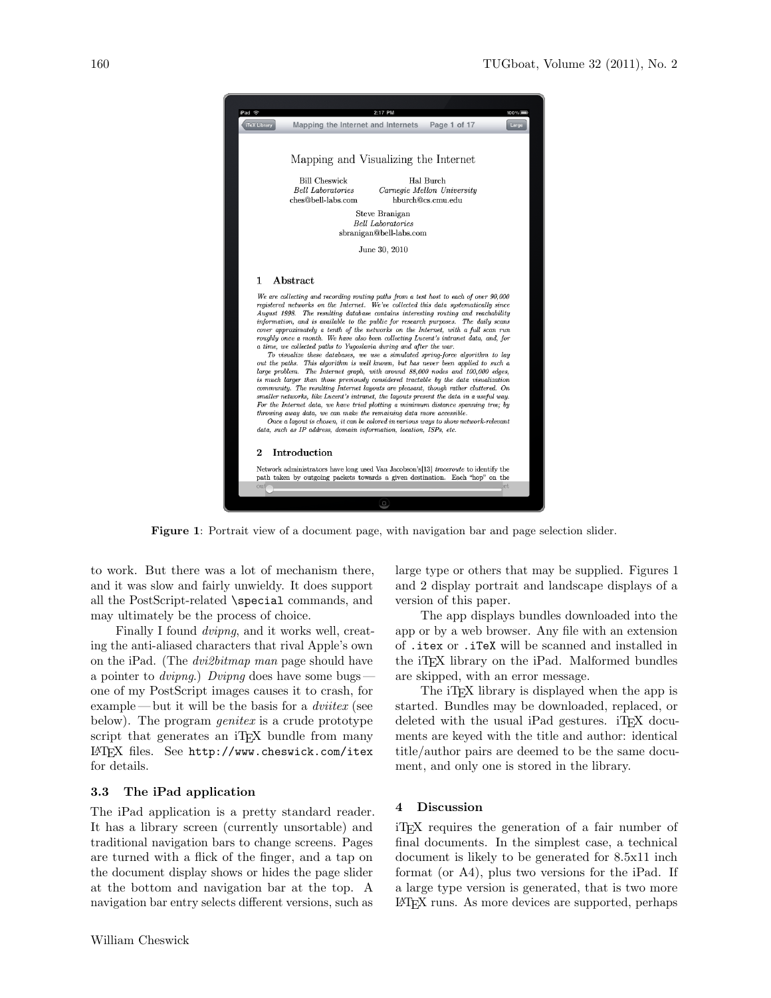

Figure 1: Portrait view of a document page, with navigation bar and page selection slider.

to work. But there was a lot of mechanism there, and it was slow and fairly unwieldy. It does support all the PostScript-related \special commands, and may ultimately be the process of choice.

Finally I found dvipng, and it works well, creating the anti-aliased characters that rival Apple's own on the iPad. (The dvi2bitmap man page should have a pointer to *dvipng*.) Dvipng does have some bugs – one of my PostScript images causes it to crash, for example—but it will be the basis for a *dviitex* (see below). The program *genitex* is a crude prototype script that generates an iT<sub>E</sub>X bundle from many LATEX files. See http://www.cheswick.com/itex for details.

## 3.3 The iPad application

The iPad application is a pretty standard reader. It has a library screen (currently unsortable) and traditional navigation bars to change screens. Pages are turned with a flick of the finger, and a tap on the document display shows or hides the page slider at the bottom and navigation bar at the top. A navigation bar entry selects different versions, such as

large type or others that may be supplied. Figures 1 and 2 display portrait and landscape displays of a version of this paper.

The app displays bundles downloaded into the app or by a web browser. Any file with an extension of .itex or .iTeX will be scanned and installed in the iTEX library on the iPad. Malformed bundles are skipped, with an error message.

The iT<sub>E</sub>X library is displayed when the app is started. Bundles may be downloaded, replaced, or deleted with the usual iPad gestures.  $i$ T<sub>F</sub>X documents are keyed with the title and author: identical title/author pairs are deemed to be the same document, and only one is stored in the library.

### 4 Discussion

iTEX requires the generation of a fair number of final documents. In the simplest case, a technical document is likely to be generated for 8.5x11 inch format (or A4), plus two versions for the iPad. If a large type version is generated, that is two more LATEX runs. As more devices are supported, perhaps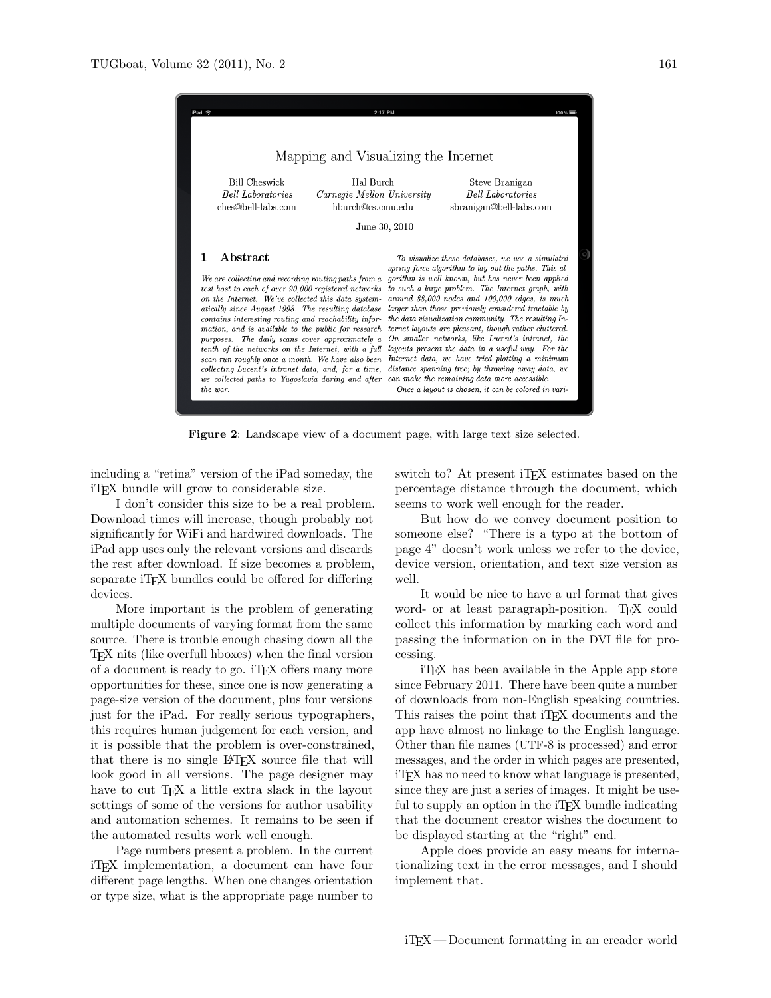

Figure 2: Landscape view of a document page, with large text size selected.

including a "retina" version of the iPad someday, the iTEX bundle will grow to considerable size.

I don't consider this size to be a real problem. Download times will increase, though probably not significantly for WiFi and hardwired downloads. The iPad app uses only the relevant versions and discards the rest after download. If size becomes a problem, separate iT<sub>F</sub>X bundles could be offered for differing devices.

More important is the problem of generating multiple documents of varying format from the same source. There is trouble enough chasing down all the TEX nits (like overfull hboxes) when the final version of a document is ready to go. iTEX offers many more opportunities for these, since one is now generating a page-size version of the document, plus four versions just for the iPad. For really serious typographers, this requires human judgement for each version, and it is possible that the problem is over-constrained, that there is no single LATEX source file that will look good in all versions. The page designer may have to cut TEX a little extra slack in the layout settings of some of the versions for author usability and automation schemes. It remains to be seen if the automated results work well enough.

Page numbers present a problem. In the current iTEX implementation, a document can have four different page lengths. When one changes orientation or type size, what is the appropriate page number to switch to? At present iT<sub>EX</sub> estimates based on the percentage distance through the document, which seems to work well enough for the reader.

But how do we convey document position to someone else? "There is a typo at the bottom of page 4" doesn't work unless we refer to the device, device version, orientation, and text size version as well.

It would be nice to have a url format that gives word- or at least paragraph-position. TEX could collect this information by marking each word and passing the information on in the DVI file for processing.

iTEX has been available in the Apple app store since February 2011. There have been quite a number of downloads from non-English speaking countries. This raises the point that iT<sub>EX</sub> documents and the app have almost no linkage to the English language. Other than file names (UTF-8 is processed) and error messages, and the order in which pages are presented, iTEX has no need to know what language is presented, since they are just a series of images. It might be useful to supply an option in the iT<sub>E</sub>X bundle indicating that the document creator wishes the document to be displayed starting at the "right" end.

Apple does provide an easy means for internationalizing text in the error messages, and I should implement that.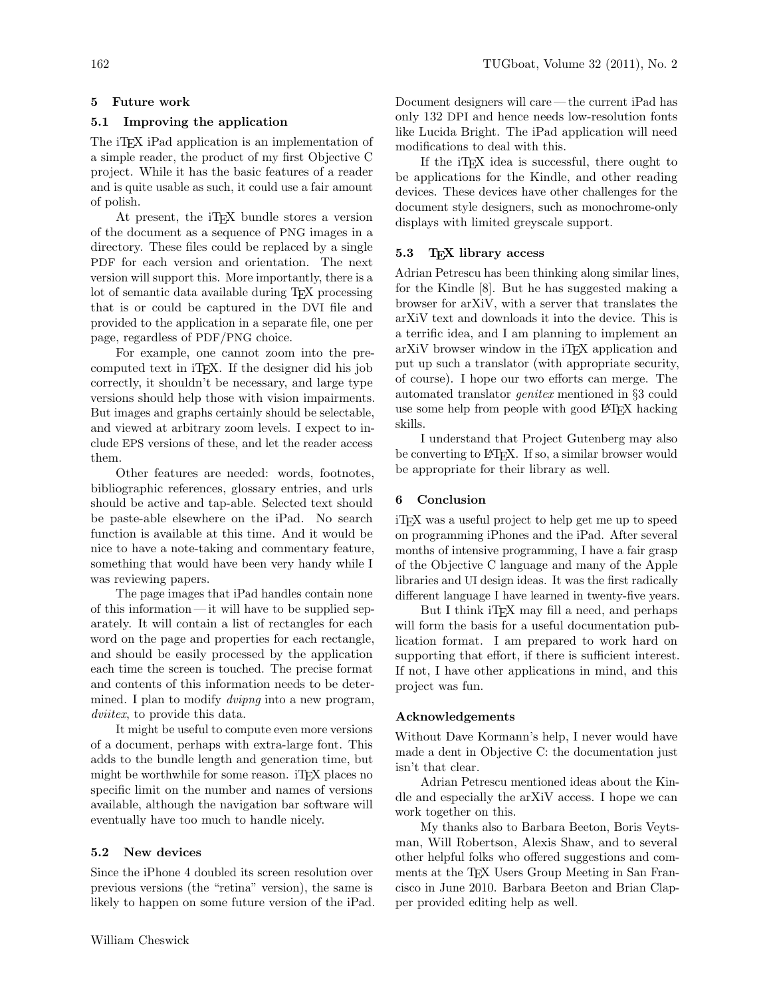# 5 Future work

# 5.1 Improving the application

The iT<sub>EX</sub> iPad application is an implementation of a simple reader, the product of my first Objective C project. While it has the basic features of a reader and is quite usable as such, it could use a fair amount of polish.

At present, the iTEX bundle stores a version of the document as a sequence of PNG images in a directory. These files could be replaced by a single PDF for each version and orientation. The next version will support this. More importantly, there is a lot of semantic data available during TEX processing that is or could be captured in the DVI file and provided to the application in a separate file, one per page, regardless of PDF/PNG choice.

For example, one cannot zoom into the precomputed text in iTEX. If the designer did his job correctly, it shouldn't be necessary, and large type versions should help those with vision impairments. But images and graphs certainly should be selectable, and viewed at arbitrary zoom levels. I expect to include EPS versions of these, and let the reader access them.

Other features are needed: words, footnotes, bibliographic references, glossary entries, and urls should be active and tap-able. Selected text should be paste-able elsewhere on the iPad. No search function is available at this time. And it would be nice to have a note-taking and commentary feature, something that would have been very handy while I was reviewing papers.

The page images that iPad handles contain none of this information — it will have to be supplied separately. It will contain a list of rectangles for each word on the page and properties for each rectangle, and should be easily processed by the application each time the screen is touched. The precise format and contents of this information needs to be determined. I plan to modify *dvipng* into a new program, dviitex, to provide this data.

It might be useful to compute even more versions of a document, perhaps with extra-large font. This adds to the bundle length and generation time, but might be worthwhile for some reason. iT<sub>EX</sub> places no specific limit on the number and names of versions available, although the navigation bar software will eventually have too much to handle nicely.

# 5.2 New devices

Since the iPhone 4 doubled its screen resolution over previous versions (the "retina" version), the same is likely to happen on some future version of the iPad. Document designers will care — the current iPad has only 132 DPI and hence needs low-resolution fonts like Lucida Bright. The iPad application will need modifications to deal with this.

If the iTEX idea is successful, there ought to be applications for the Kindle, and other reading devices. These devices have other challenges for the document style designers, such as monochrome-only displays with limited greyscale support.

### 5.3 TEX library access

Adrian Petrescu has been thinking along similar lines, for the Kindle [8]. But he has suggested making a browser for arXiV, with a server that translates the arXiV text and downloads it into the device. This is a terrific idea, and I am planning to implement an arXiV browser window in the iT<sub>EX</sub> application and put up such a translator (with appropriate security, of course). I hope our two efforts can merge. The automated translator genitex mentioned in §3 could use some help from people with good LAT<sub>EX</sub> hacking skills.

I understand that Project Gutenberg may also be converting to LATEX. If so, a similar browser would be appropriate for their library as well.

### 6 Conclusion

iTEX was a useful project to help get me up to speed on programming iPhones and the iPad. After several months of intensive programming, I have a fair grasp of the Objective C language and many of the Apple libraries and UI design ideas. It was the first radically different language I have learned in twenty-five years.

But I think iT<sub>F</sub>X may fill a need, and perhaps will form the basis for a useful documentation publication format. I am prepared to work hard on supporting that effort, if there is sufficient interest. If not, I have other applications in mind, and this project was fun.

#### Acknowledgements

Without Dave Kormann's help, I never would have made a dent in Objective C: the documentation just isn't that clear.

Adrian Petrescu mentioned ideas about the Kindle and especially the arXiV access. I hope we can work together on this.

My thanks also to Barbara Beeton, Boris Veytsman, Will Robertson, Alexis Shaw, and to several other helpful folks who offered suggestions and comments at the TEX Users Group Meeting in San Francisco in June 2010. Barbara Beeton and Brian Clapper provided editing help as well.